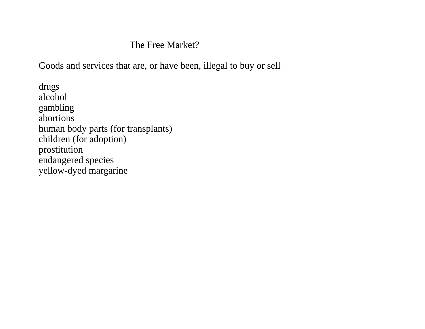#### The Free Market?

## Goods and services that are, or have been, illegal to buy or sell

drugs alcohol gambling abortions human body parts (for transplants) children (for adoption) prostitution endangered species yellow-dyed margarine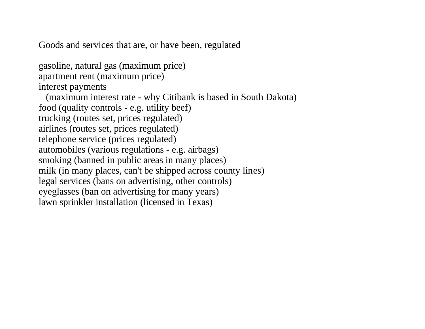#### Goods and services that are, or have been, regulated

gasoline, natural gas (maximum price) apartment rent (maximum price) interest payments (maximum interest rate - why Citibank is based in South Dakota) food (quality controls - e.g. utility beef) trucking (routes set, prices regulated) airlines (routes set, prices regulated) telephone service (prices regulated) automobiles (various regulations - e.g. airbags) smoking (banned in public areas in many places) milk (in many places, can't be shipped across county lines) legal services (bans on advertising, other controls) eyeglasses (ban on advertising for many years) lawn sprinkler installation (licensed in Texas)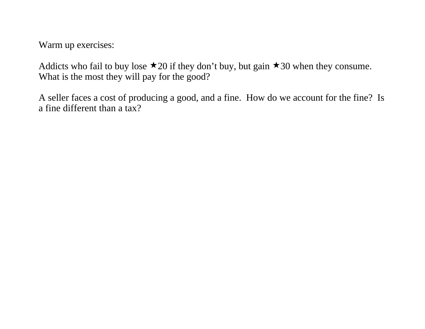Warm up exercises:

Addicts who fail to buy lose  $\star$  20 if they don't buy, but gain  $\star$  30 when they consume. What is the most they will pay for the good?

A seller faces a cost of producing a good, and a fine. How do we account for the fine? Is a fine different than a tax?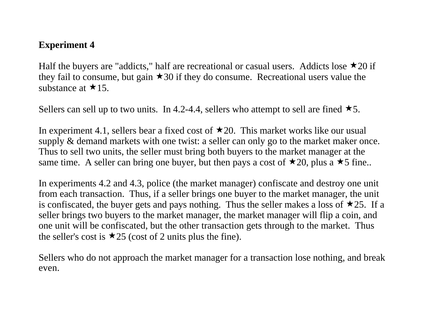## **Experiment 4**

Half the buyers are "addicts," half are recreational or casual users. Addicts lose  $\star$ 20 if they fail to consume, but gain  $\star$  30 if they do consume. Recreational users value the substance at  $\star$ 15.

Sellers can sell up to two units. In 4.2-4.4, sellers who attempt to sell are fined  $\star$ 5.

In experiment 4.1, sellers bear a fixed cost of  $\star$ 20. This market works like our usual supply & demand markets with one twist: a seller can only go to the market maker once. Thus to sell two units, the seller must bring both buyers to the market manager at the same time. A seller can bring one buyer, but then pays a cost of  $\star$ 20, plus a  $\star$ 5 fine..

In experiments 4.2 and 4.3, police (the market manager) confiscate and destroy one unit from each transaction. Thus, if a seller brings one buyer to the market manager, the unit is confiscated, the buyer gets and pays nothing. Thus the seller makes a loss of  $\star$ 25. If a seller brings two buyers to the market manager, the market manager will flip a coin, and one unit will be confiscated, but the other transaction gets through to the market. Thus the seller's cost is  $\star$ 25 (cost of 2 units plus the fine).

Sellers who do not approach the market manager for a transaction lose nothing, and break even.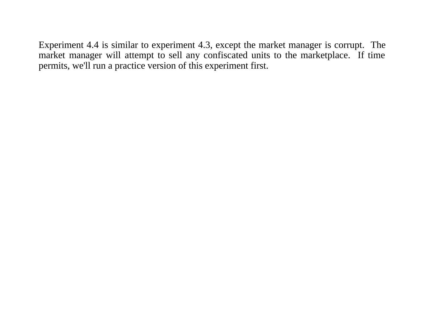Experiment 4.4 is similar to experiment 4.3, except the market manager is corrupt. The market manager will attempt to sell any confiscated units to the marketplace. If time permits, we'll run a practice version of this experiment first.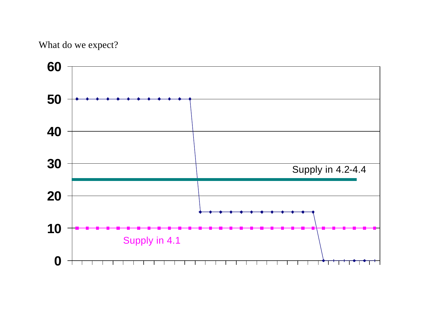# What do we expect?

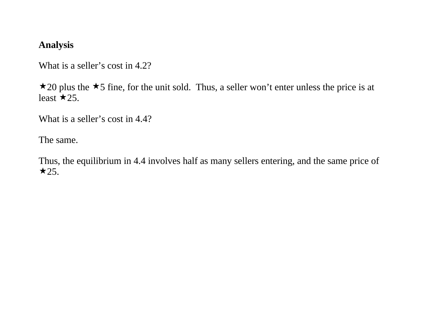## **Analysis**

What is a seller's cost in 4.2?

 $\star$  20 plus the  $\star$ 5 fine, for the unit sold. Thus, a seller won't enter unless the price is at least  $\star$  25.

What is a seller's cost in 4.4?

The same.

Thus, the equilibrium in 4.4 involves half as many sellers entering, and the same price of  $\star$  25.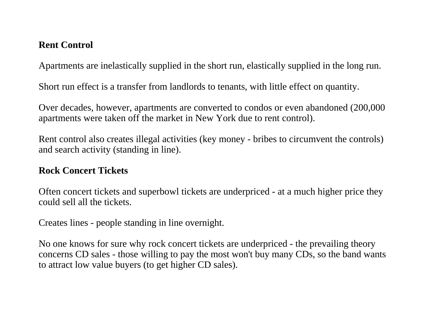## **Rent Control**

Apartments are inelastically supplied in the short run, elastically supplied in the long run.

Short run effect is a transfer from landlords to tenants, with little effect on quantity.

Over decades, however, apartments are converted to condos or even abandoned (200,000 apartments were taken off the market in New York due to rent control).

Rent control also creates illegal activities (key money - bribes to circumvent the controls) and search activity (standing in line).

#### **Rock Concert Tickets**

Often concert tickets and superbowl tickets are underpriced - at a much higher price they could sell all the tickets.

Creates lines - people standing in line overnight.

No one knows for sure why rock concert tickets are underpriced - the prevailing theory concerns CD sales - those willing to pay the most won't buy many CDs, so the band wants to attract low value buyers (to get higher CD sales).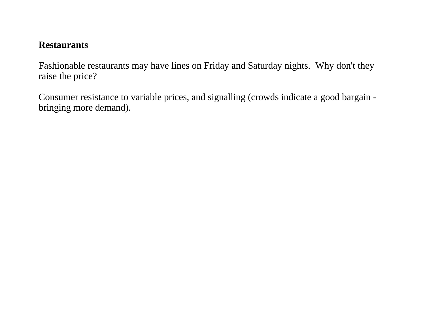# **Restaurants**

Fashionable restaurants may have lines on Friday and Saturday nights. Why don't they raise the price?

Consumer resistance to variable prices, and signalling (crowds indicate a good bargain bringing more demand).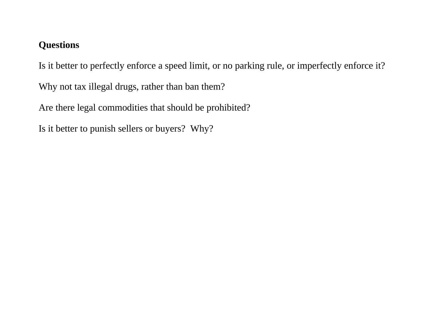# **Questions**

Is it better to perfectly enforce a speed limit, or no parking rule, or imperfectly enforce it?

Why not tax illegal drugs, rather than ban them?

Are there legal commodities that should be prohibited?

Is it better to punish sellers or buyers? Why?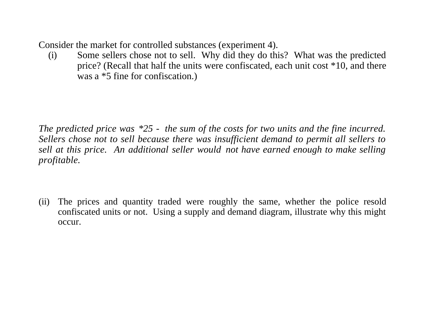Consider the market for controlled substances (experiment 4).

(i) Some sellers chose not to sell. Why did they do this? What was the predicted price? (Recall that half the units were confiscated, each unit cost \*10, and there was a \*5 fine for confiscation.)

*The predicted price was \*25 - the sum of the costs for two units and the fine incurred. Sellers chose not to sell because there was insufficient demand to permit all sellers to sell at this price. An additional seller would not have earned enough to make selling profitable.*

(ii) The prices and quantity traded were roughly the same, whether the police resold confiscated units or not. Using a supply and demand diagram, illustrate why this might occur.